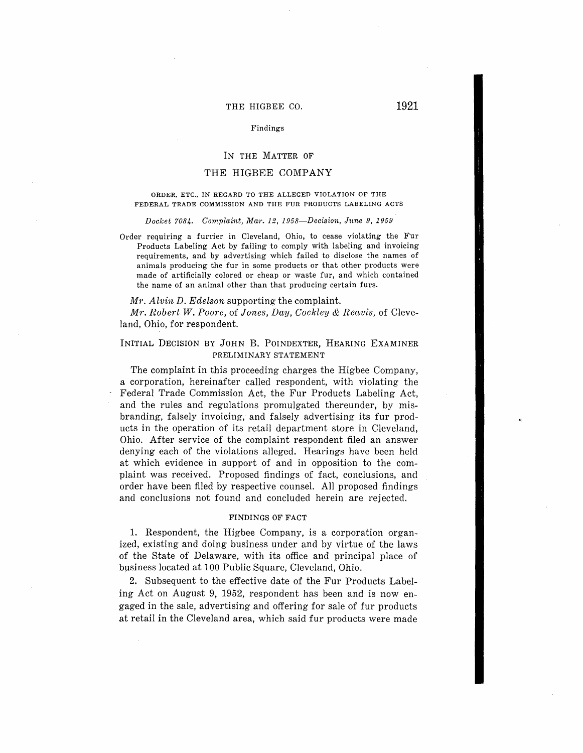# THE HIGBEE CO. **1921**

#### Findings

## IN THE MATTER OF

# THE HIGBEE COMPANY

#### **ORDER, ETC., IN REGARD TO THE ALLEGED VIOLATION OF THE FEDERAL TRADE COMMISSION AND THE FUR PRODUCTS LABELING ACTS**

*Docket 7084. Compla:int, Mar. 12, 1.958-Decision, June 9, 1959* 

Order requiring a furrier in Cleveland, Ohio, to cease violating the Fur Products Labeling Act by failing to comply with labeling and invoicing requirements, and by advertising which failed to disclose the names of animals producing the fur in some products or that other products were made of artificially colored or cheap or waste fur, and which contained the name of an animal other than that producing certain furs.

#### *Mr. Alvin D. Edelson* supporting the complaint.

*Mr. Robert W. Poore,* of *Jones, Day, Cockley & Reavis,* of Cleveland, Ohio, for respondent.

# **INITIAL DECISION BY JOHN B. POINDEXTER, HEARING EXAMINER PRELIMINARY STATEMENT**

The complaint in this proceeding charges the Higbee Company, a corporation, hereinafter called respondent, with violating the Federal Trade Commission Act, the Fur Products Labeling Act, and the rules and regulations promulgated thereunder, by misbranding, falsely invoicing, and falsely advertising its fur products in the operation of its retail department store in Cleveland, Ohio. After service of the complaint respondent filed an answer denying each of the violations alleged. Hearings have been held at which evidence in support of and in opposition to the complaint was received. Proposed findings of fact, conclusions, and order have been filed by respective counsel. All proposed findings and conclusions not found and concluded herein are rejected.

## **FINDINGS OF FACT**

1. Respondent, the Higbee Company, is a corporation organized, existing and doing business under and by virtue of the laws of the State of Delaware, with its office and principal place of business located at 100 Public Square, Cleveland, Ohio.

2. Subsequent to the effective date of the Fur Products Labeling Act on August 9, 1952, respondent has been and is now engaged in the sale, advertising and offering for sale of fur products at retail in the Cleveland area, which said fur products were made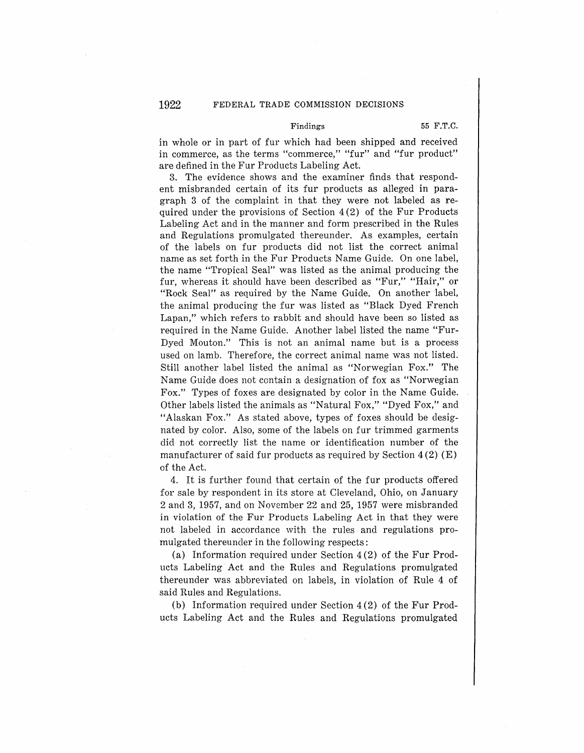# Findings 55 F.T.C.

in whole or in part of fur which had been shipped and received in commerce, as the terms "commerce," "fur" and "fur product" are defined in the Fur Products Labeling Act.

3. The evidence shows and the examiner finds that respondent misbranded certain of its fur products as alleged in paragraph 3 of the complaint in that they were not labeled as required under the provisions of Section 4 (2) of the Fur Products Labeling Act and in the manner and form prescribed in the Rules and Regulations promulgated thereunder. As examples, certain of the labels on fur products did not list the correct animal name as set forth in the Fur Products Name Guide. On one label, the name "Tropical Seal" was listed as the animal producing the fur, whereas it should have been described as "Fur," "Hair," or "Rock Seal" as required by the Name Guide. On another label, the animal producing the fur was listed as "Black Dyed French Lapan," which refers to rabbit and should have been so listed as required in the Name Guide. Another label listed the name "Fur-Dyed Mouton." This is not an: animal name but is a process used on lamb. Therefore, the correct animal name was not listed. Still another label listed the animal as "Norwegian Fox." The Name Guide does not contain a designation of fox as "Norwegian Fox." Types of foxes are designated by color in the Name Guide. Other labels listed the animals as "Natural Fox," "Dyed Fox," and "Alaskan Fox." As stated above, types of foxes should be designated by color. Also, some of the labels on fur trimmed garments did not correctly list the name or identification number of the manufacturer of said fur products as required by Section  $4(2)$  (E) of the Act.

4. It is further found that certain of the fur products offered for sale by respondent in its store at Cleveland, Ohio, on January 2 and 3, 1957, and on November 22 and 25, 1957 were misbranded in violation of the Fur Products Labeling Act in that they were not labeled in accordance with the rules and regulations promulgated thereunder in the following respects:

(a) Information required under Section 4 (2) of the Fur Products Labeling Act and the Rules and Regulations promulgated thereunder was abbreviated on labels, in violation of Rule 4 of said Rules and Regulations.

(b) Information required under Section 4 (2) of the Fur Products Labeling Act and the Rules and Regulations promulgated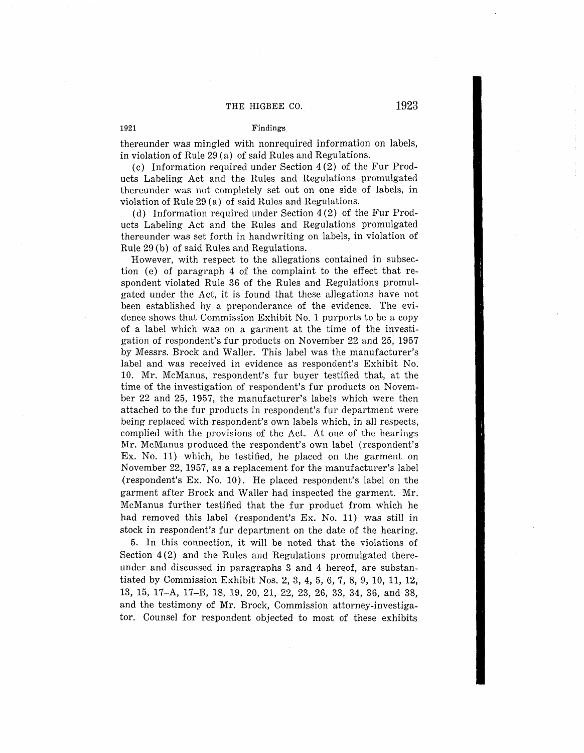## 1921 Findings

thereunder was mingled with nonrequired information on labels, in violation of Rule 29 (a) of said Rules and Regulations.

(c) Information required under Section 4 (2) of the Fur Products Labeling Act and the Rules and Regulations promulgated thereunder was not completely set out on one side of labels, in violation of Rule 29 (a) of said Rules and Regulations.

(d) Information required under Section 4(2) of the Fur Products Labeling Act and the Rules and Regulations promulgated thereunder was set forth in handwriting on labels, in violation of Rule 29 (b) of said Rules and Regulations.

However, with respect to the allegations contained in subsection (e) of paragraph 4 of the complaint to the effect that respondent violated Rule 36 of the Rules and Regulations promulgated under the Act, it is found that these allegations have not been established by a preponderance of the evidence. The evidence shows that Commission Exhibit No. 1 purports to be a copy of a label which was on a garment at the time of the investigation of respondent's fur products on November 22 and 25, 1957 by Messrs. Brock and Waller. This label was the manufacturer's label and was received in evidence as respondent's Exhibit No. 10. Mr. McManus, respondent's fur buyer testified that, at the time of the investigation of respondent's fur products on November 22 and 25, 1957, the manufacturer's labels which were then attached to the fur products in respondent's fur department were being replaced with respondent's own labels which, in all respects, complied with the provisions of the Act. At one of the hearings Mr. McManus produced the respondent's own label (respondent's Ex. No. 11) which, he testified, he placed on the garment on November 22, 1957, as a replacement for the manufacturer's label (respondent's Ex. No. 10). He placed respondent's label on the garment after Brock and Waller had inspected the garment. Mr. McManus further testified that the fur product from which he had removed this label (respondent's Ex. No. 11) was still in stock in respondent's fur department on the date of the hearing.

5. In this connection, it will be noted that the violations of Section 4(2) and the Rules and Regulations promulgated thereunder and discussed in paragraphs 3 and 4 hereof, are substantiated by Commission Exhibit Nos. 2, 3, 4, 5, 6, 7, 8, 9, 10, 11, 12, 13, 15, 17-A, 17-B, 18, 19, 20, 21, 22, 23, 26, 33, 34, 36, and 38, and the testimony of Mr. Brock, Commission attorney-investigator. Counsel for respondent objected to most of these exhibits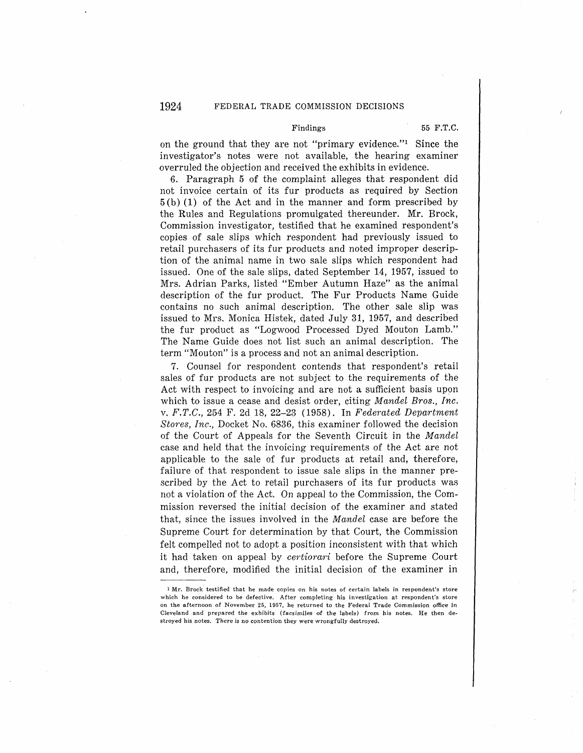## 1924 FEDERAL TRADE COMMISSION DECISIONS

# Findings 55 F.T.C.

on the ground that they are not "primary evidence."<sup>1</sup> Since the investigator's notes were not available, the hearing examiner overruled the objection and received the exhibits in evidence.

6. Paragraph 5 of the complaint alleges that respondent did not invoice certain of its fur products as required by Section  $5(b)$  (1) of the Act and in the manner and form prescribed by the Rules and Regulations promulgated thereunder. Mr. Brock, Commission investigator, testified that he examined respondent's copies of sale slips which respondent had previously issued to retail purchasers of its fur products and noted improper description of the animal name in two sale slips which respondent had issued. One of the sale slips, dated September 14, 1957, issued to Mrs. Adrian Parks, listed "Ember Autumn Haze" as the animal description of the fur product. The Fur Products Name Guide contains no such animal description. The other sale slip was issued to Mrs. Monica Histek, dated July 31, 1957, and described the fur product as "Logwood Processed Dyed Mouton Lamb." The Name Guide does not list such an animal description. The term "Mouton" is a process and not an animal description.

7. Counsel for respondent contends that respondent's retail sales of fur products are not subject to the requirements of the Act with respect to invoicing and are not a sufficient basis upon which to issue a cease and desist order, citing *Mandel Bros., Inc.*  v. F.T.C., 254 F. 2d 18, 22-23 (1958). In *Federated Department Stores, Inc.,* Docket No. 6836, this examiner followed the decision of the Court of Appeals for the Seventh Circuit in the *Mandel*  case and held that the invoicing requirements of the Act are not applicable to the sale of fur products at retail and, therefore, failure of that respondent to issue sale slips in the manner prescribed by the Act to retail purchasers of its fur products was not a violation of the Act. On appeal to the Commission, the Commission reversed the initial decision of the examiner and stated that, since the issues involved in the *Mandel* case are before the Supreme Court for determination by that Court, the Commission felt compelled not to adopt a position inconsistent with that which it had taken on appeal by *certiorari* before the Supreme Court and, therefore, modified the initial decision of the examiner in

<sup>1</sup> Mr. Brock testified that he made copies on his notes of certain labels in respondent's store which he considered to be defective. After completing his investigation at respondent's store on the afternoon of November 25, 1957, he returned to the Federal Trade Commission office in Cleveland and prepared the exhibits *(*facsimiles of the labels) from his notes. He then destroyed his notes. There is no contention they were wrongfully destroyed.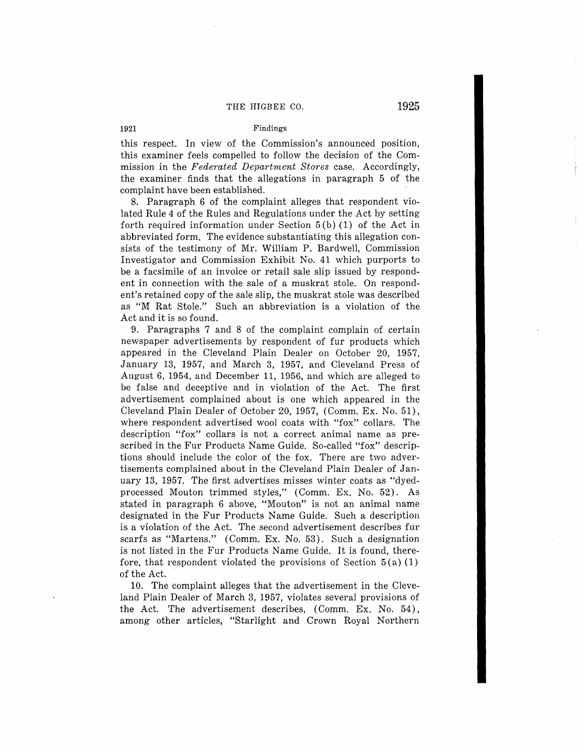#### **1921 Findings**

this respect. In view of the Commission's announced position, this examiner feels compelled to follow the decision of the Commission in the *Federated Department Stores* case. Accordingly, the examiner finds that the allegations in paragraph 5 of the complaint have been established.

8. Paragraph 6 of the complaint alleges that respondent violated Rule 4 of the Rules and Regulations under the Act by setting forth required information under Section  $5(b)$  (1) of the Act in abbreviated form. The evidence substantiating this allegation consists of the testimony of Mr. William P. Bardwell, Commission Investigator and Commission Exhibit No. 41 which purports to be a facsimile of an invoice or retail sale slip issued by respondent in connection with the sale of a muskrat stole. On respondent's retained copy of the sale slip, the muskrat stole was described as "M Rat Stole." Such an abbreviation is a violation of the Act and it is so found.

9. Paragraphs 7 and 8 of the complaint complain of certain newspaper advertisements by respondent of fur products which appeared in the Cleveland Plain Dealer on October 20, 1957, .January 13, 1957, and March 3, 1957, and Cleveland Press of August 6, 1954, and December 11, 1956, and which are alleged to be false and deceptive and in violation of the Act. The first advertisement complained about is one which appeared in the Cleveland Plain Dealer of October 20, 1957, (Comm. Ex. No. 51), where respondent advertised wool coats with "fox" collars. The description "fox" collars is not a correct animal name as prescribed in the Fur Products Name Guide. So-called "fox" descriptions should include the color of the fox. There are two advertisements complained about in the Cleveland Plain Dealer of January 13, 1957. The first advertises misses winter coats as "dyedprocessed Mouton trimmed styles," (Comm. Ex. No. 52). As stated in paragraph 6 above, "Mouton" is not an animal name designated in the Fur Products Name Guide. Such a description is a violation of the Act. The second advertisement describes fur scarfs as "Martens." (Comm. Ex. No. 53). Such a designation is not listed in the Fur Products Name Guide. It is found, therefore, that respondent violated the provisions of Section  $5(a)(1)$ of the Act.

10. The complaint alleges that the advertisement in the Cleveland Plain Dealer of March 3, 1957, violates several provisions of the Act. The advertisement describes, (Comm. Ex. No. 54), among other articles, "Starlight and Crown Royal Northern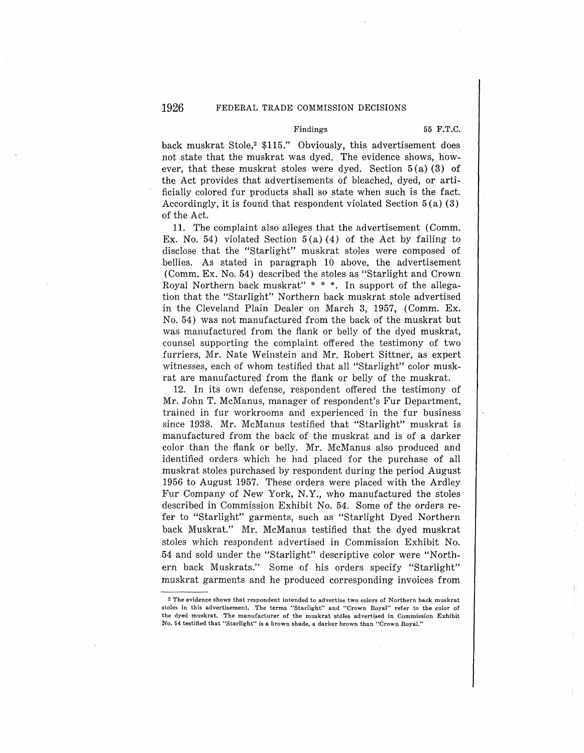#### Findings 55 F.T.C.

back muskrat Stole,<sup>2</sup> \$115." Obviously, this advertisement does not state that the muskrat was dyed. The evidence shows, however, that these muskrat stoles were dyed. Section 5 (a) (3) of the Act provides that advertisements of bleached, dyed, or artificially colored fur products shall so state when such is the fact. Accordingly, it is found that respondent violated Section 5 (a) (3) of the Act.

11. The complaint also alleges that the advertisement (Comm. Ex. No. 54) violated Section  $5(a)(4)$  of the Act by failing to disclose that the "Starlight" muskrat stoles were composed of bellies. As stated in paragraph 10 above, the advertisement (Comm. Ex. No. 54) described the stoles as "Starlight and Crown Royal Northern back muskrat" \* \* \*. In support of the allegation that the "Starlight" Northern back muskrat stole advertised\_ in the Cleveland Plain Dealer on March 3, 1957, (Comm. Ex. No. 54) was not manufactured from the back of the muskrat but was manufactured from the flank or belly of the dyed muskrat, counsel supporting the complaint offered the testimony of two furriers, Mr. Nate Weinstein and Mr. Robert Sittner, as expert witnesses, each of whom testified that all "Starlight" color muskrat are manufactured from the flank or belly of the muskrat.

12. In its own defense, respondent offered the testimony of Mr. John T. McManus, manager of respondent's Fur Department, trained in fur workrooms and experienced in the fur business since 1938. Mr. McManus testified that "Starlight" muskrat is manufactured from the back of the muskrat and is of a darker color than the flank or belly. Mr. McManus also produced and identified orders which he had placed for the purchase of all muskrat stoles purchased by respondent during the period August 1956 to August 1957. These orders were placed with the Ardley Fur Company of New York, N.Y., who manufactured the stoles described in Commission Exhibit No. 54. Some of the orders refer to "Starlight" garments, such as "Starlight Dyed Northern back Muskrat." Mr. McManus testified that the dyed muskrat stoles which respondent advertised in Commission Exhibit No. 54 and sold under the "Starlight" descriptive color were "Northern back Muskrats." Some of his orders specify "Starlight" muskrat garments and he produced corresponding invoices from

<sup>2</sup>The evidence shows that respondent intended to advertise two colors of Northern back muskrat stoles in this advertisement. The terms "Starlight" and "Crown Royal" refer to the color of the dyed muskrat. The manufacturer of the muskrat stoles advertised in Commission Exhibit No. 64 testified that "Starlight" is a brown shade, a darker brown than "Crown Royal."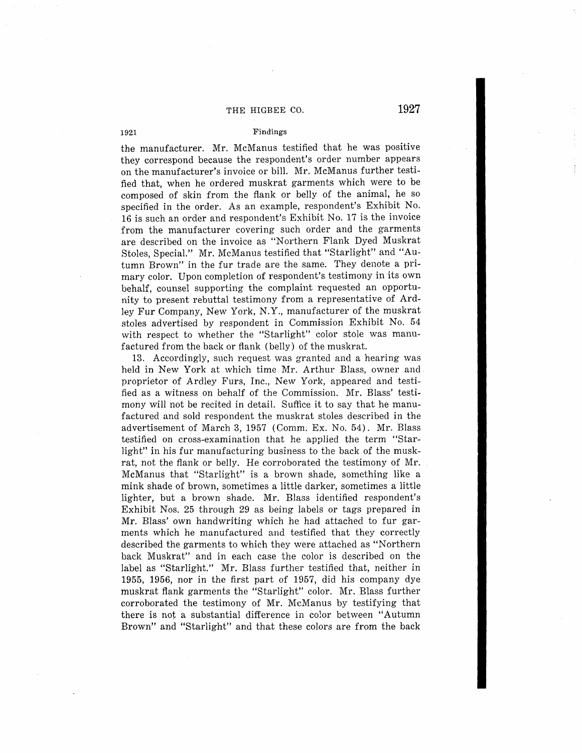# **1921 Findings**

the manufacturer. Mr. McManus testified that he was positive they correspond because the respondent's order number appears on the manufacturer's invoice or bill. Mr. McManus further testified that, when he ordered muskrat garments which were to be composed of skin from the flank or belly of the animal, he so specified in the order. As an example, respondent's Exhibit No. 16 is such an order and respondent's Exhibit No. 17 is the invoice from the manufacturer covering such order and the garments are described on the invoice as "Northern Flank Dyed Muskrat Stoles, Special." Mr. McManus testified that "Starlight" and "Autumn Brown" in the fur trade are the same. They denote a primary color. Upon completion of respondent's testimony in its own behalf, counsel supporting the complaint requested an opportunity to present rebuttal testimony from a representative of Ardley Fur Company, New York, N.Y., manufacturer of the muskrat stoles advertised by respondent in Commission Exhibit No. 54 with respect to whether the "Starlight" color stole was manufactured from the back or flank (belly) of the muskrat.

13. Accordingly, such request was granted and a hearing was held in New York at which time Mr. Arthur Blass, owner and. proprietor of Ardley Furs, Inc., New York, appeared and testified as a witness on behalf of the Commission. Mr. Blass' testimony will not be recited in detail. Suffice it to say that he manufactured and sold respondent the muskrat stoles described in the advertisement of March 3, 1957 (Comm. Ex. No. 54). Mr. Blass testified on cross-examination that he applied the term "Starlight" in his fur manufacturing business to the back of the muskrat, not the flank or belly. He corroborated the testimony of Mr. McManus that "Starlight" is a brown shade, something like a mink shade of brown, sometimes a little darker, sometimes a little lighter, but a brown shade. Mr. Blass identified respondent's Exhibit Nos. 25 through 29 as being labels or tags prepared in Mr. Blass' own handwriting which he had attached to fur garments which he manufactured and testified that they correctly described the garments to which they were attached as "Northern back Muskrat" and in each case the color is described on the label as "Starlight." Mr. Blass further testified that, neither in 1955, 1956, nor in the first part of 1957, did his company dye muskrat flank garments the "Starlight" color. Mr. Blass further corroborated the testimony of Mr. McManus by testifying that there is not a substantial difference in color between "Autumn Brown" and "Starlight" and that these colors are from the back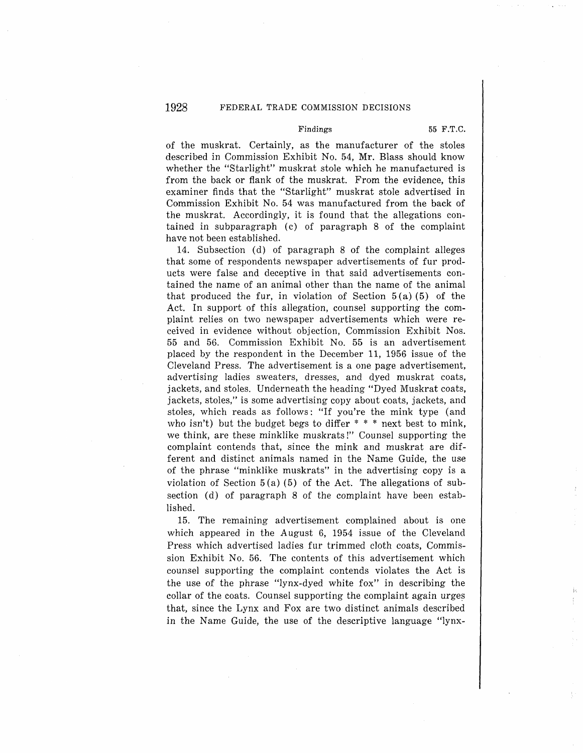## Findings 55 F.T.C.

of the muskrat. Certainly, as the manufacturer of the stoles described in Commission Exhibit No. 54, Mr. Blass should know whether the "Starlight" muskrat stole which he manufactured is from the back or flank of the muskrat. From the evidence, this examiner finds that the "Starlight" muskrat stole advertised in Commission Exhibit No. 54 was manufactured from the back of the muskrat. Accordingly, it is found that the allegations contained in subparagraph (c) of paragraph 8 of the complaint have not been established.

14. Subsection (d) of paragraph 8 of the complaint alleges that some of respondents newspaper advertisements of fur products were false and deceptive in that said advertisements contained the name of an animal other than the name of the animal that produced the fur, in violation of Section  $5(a)$  (5) of the Act. In support of this allegation, counsel supporting the complaint relies on two newspaper advertisements which were received in evidence without objection, Commission Exhibit Nos. 55 and 56. Commission Exhibit No. 55 is an advertisement placed by the respondent in the December 11, 1956 issue of the Cleveland Press. The advertisement is a one page advertisement, advertising ladies sweaters, dresses, and dyed muskrat coats, jackets, and stoles. Underneath the heading "Dyed Muskrat coats, jackets, stoles," is some advertising copy about coats, jackets, and stoles, which reads as follows: "If you're the mink type (and who isn't) but the budget begs to differ  $* * *$  next best to mink, we think, are these minklike muskrats!" Counsel supporting the complaint contends that, since the mink and muskrat are different and distinct animals named in the Name Guide, the use of the phrase "minklike muskrats" in the advertising copy is a violation of Section  $5(a)$  (5) of the Act. The allegations of subsection (d) of paragraph 8 of the complaint have been established.

15. The remaining advertisement complained about is one which appeared in the August 6, 1954 issue of the Cleveland Press which advertised ladies fur trimmed cloth coats, Commission Exhibit No. 56. The contents of this advertisement which counsel supporting the complaint contends violates the Act is the use of the phrase "lynx-dyed white fox" in describing the collar of the coats. Counsel supporting the complaint again urges that, since the Lynx and Fox are two distinct animals described in the Name Guide, the use of the descriptive language "lynx-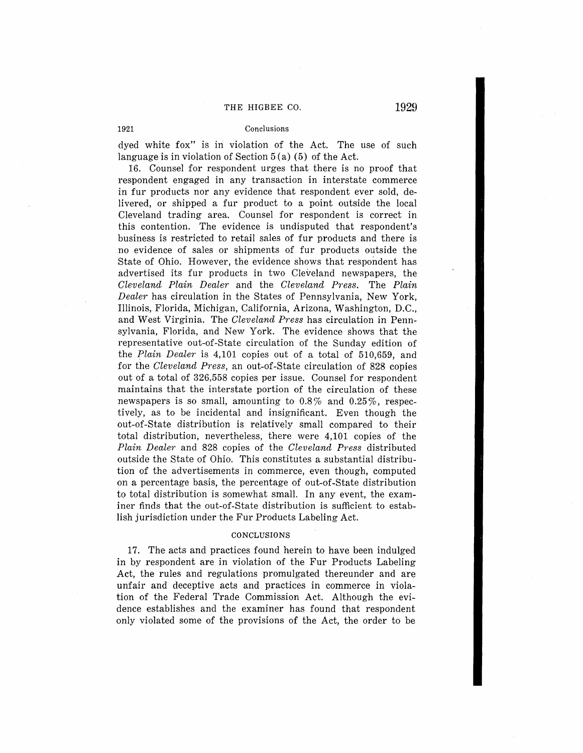## 1921 Conclusions

dyed white fox" is in violation of the Act. The use of such language is in violation of Section  $5(a)$  (5) of the Act.

16. Counsel for respondent urges that there is no proof that respondent engaged in any transaction in interstate commerce in fur products nor any evidence that respondent ever sold, delivered, or shipped a fur product to a point outside the local Cleveland trading area. Counsel for respondent is correct in this contention. The evidence is undisputed that respondent's business is restricted to retail sales of fur products and there is no evidence of sales or shipments of fur products outside the State of Ohio. However, the evidence shows that respondent has advertised its fur products in two Cleveland newspapers, the *Cleveland Plain Dealer* and the *Cleveland Press.* The *Plain Dealer* has circulation in the States of Pennsylvania, New York, Illinois, Florida, Michigan, California, Arizona, Washington, D.C., and West Virginia. The *Cleveland Press* has circulation in Pennsylvania, Florida, and New York. The evidence shows that the representative out-of-State circulation of the Sunday edition of the *Plain Dealer* is 4,101 copies out of a total of 510,659, and for the *Cleveland Press,* an out-of-State circulation of 828 copies out of a total of 326,558 copies per issue. Counsel for respondent maintains that the interstate portion of the circulation of these newspapers is so small, amounting to  $0.8\%$  and  $0.25\%$ , respectively, as to be incidental and insignificant. Even though the out-of-State distribution is relatively small compared to their total distribution, nevertheless, there were 4,101 copies of the *Plain Dealer* and 828 copies of the *Cleveland Press* distributed outside the State of Ohio. This constitutes a substantial distribution of the advertisements in commerce, even though, computed on a percentage basis, the percentage of out-of-State distribution to total distribution is somewhat small. In any event, the examiner finds that the out-of-State distribution is sufficient to establish jurisdiction under the Fur Products Labeling Act.

## **CONCLUSIONS**

17. The acts and practices found herein to have been indulged in by respondent are in violation of the Fur Products Labeling Act, the rules and regulations promulgated thereunder and are unfair and deceptive acts and practices in commerce in violation of the Federal Trade Commission Act. Although the evidence establishes and the examiner has found that respondent only violated some of the provisions of the Act, the order to be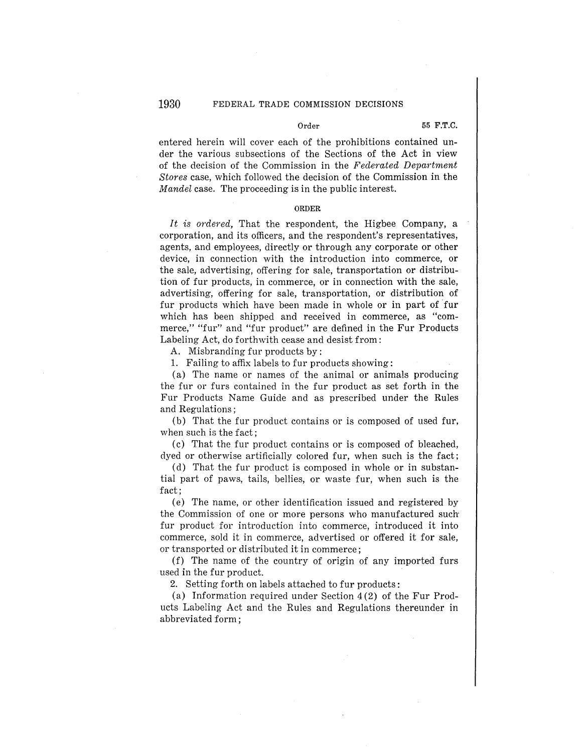# Order 55 **F.T.C.**

entered herein will cover each of the prohibitions contained under the various subsections of the Sections of the Act in view of the decision of the Commission in the *Feclerated Department Stores* case, which followed the decision of the Commission in the *Mandel* case. The proceeding is in the public interest.

#### **ORDER**

*It is ordered,* That the respondent, the Higbee Company, a corporation, and its officers, and the respondent's representatives, agents, and employees, directly or through any corporate or other device, in connection with the introduction into commerce, or the sale, advertising, offering for sale, transportation or distribution of fur products, in commerce, or in connection with the sale, advertising, offering for sale, transportation, or distribution of fur products which have been made in whole or in part of fur which has been shipped and received in commerce, as "commerce," "fur" and "fur product" are defined in the Fur Products Labeling Act, do forthwith cease and desist from:

A. Misbranding fur products by:

1. Failing to affix labels to fur products showing:

(a) The name or names of the animal or animals producing the fur or furs contained in the fur product as set forth in the Fur Products Name Guide and as prescribed under the Rules and Regulations;

(b) That the fur product contains or is composed of used fur, when such is the fact:

(c) That the fur product contains or is composed of bleached, dyed or otherwise artificially colored fur, when such is the fact;

(d) That the fur product is composed in whole or in substantial part of paws, tails, bellies, or waste fur, when such is the fact;

(e) The name, or other identification issued and registered by the Commission of one or more persons who manufactured such· fur product for introduction into commerce, introduced it into commerce, sold it in commerce, advertised or offered it for sale, or transported or distributed it in commerce;

(f) The name of the country of origin of any imported furs used in the fur product.

2. Setting forth on labels attached to fur products:

(a) Information required under Section 4 (2) of the Fur Products Labeling Act and the Rules and Regulations thereunder in abbreviated form;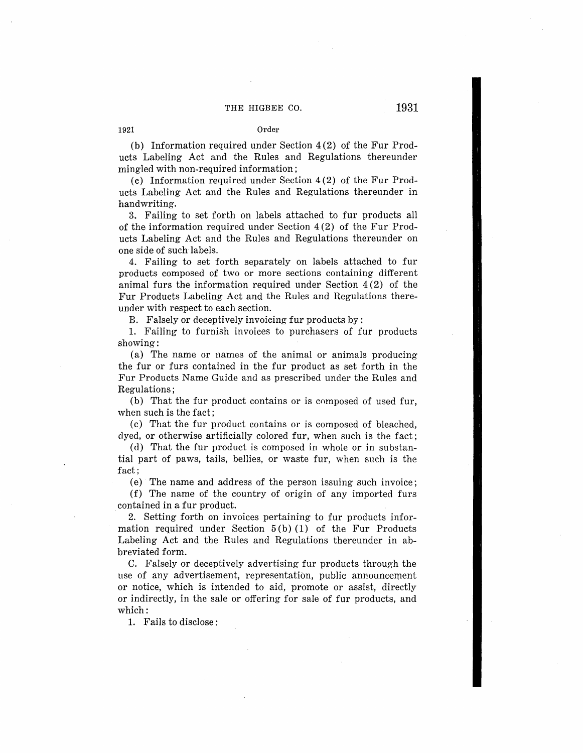(b) Information required under Section 4 (2) of the Fur Products Labeling Act and the Rules and Regulations thereunder mingled with non-required information;

 $(c)$  Information required under Section  $4(2)$  of the Fur Products Labeling Act and the Rules and Regulations thereunder in handwriting.

3. Failing to set forth on labels attached to fur products all of the information required under Section 4 (2) of the Fur Products Labeling Act and the Rules and Regulations thereunder on one side of such labels.

4. Failing to set forth separately on labels attached to fur products composed of two or more sections containing different animal furs the information required under Section 4 (2) of the Fur Products Labeling Act and the Rules and Regulations thereunder with respect to each section.

B. Falsely or deceptively invoicing fur products by:

1. Failing to furnish invoices to purchasers of fur products showing:

(a) The name or names of the animal or animals producing the fur or furs contained in the fur product as set forth in the Fur Products Name Guide and as prescribed under the Rules and Regulations;

(b) That the fur product contains or is composed of used fur, when such is the fact;

(c) That the fur product contains or is composed of bleached, dyed, or otherwise artificially colored fur, when such is the fact;

(d) That the fur product is composed in whole or in substantial part of paws, tails, bellies, or waste fur, when such is the fact;

(e) The name and address of the person issuing such invoice;

(f) The name of the country of origin of any imported furs contained in a fur product.

2. Setting forth on invoices pertaining to fur products information required under Section  $5(b) (1)$  of the Fur Products Labeling Act and the Rules and Regulations thereunder in abbreviated form.

C. Falsely or deceptively advertising fur products through the use of any advertisement, representation, public announcement or notice, which is intended to aid, promote or assist, directly or indirectly, in the sale or offering for sale of fur products, and which:

1. Fails to disclose :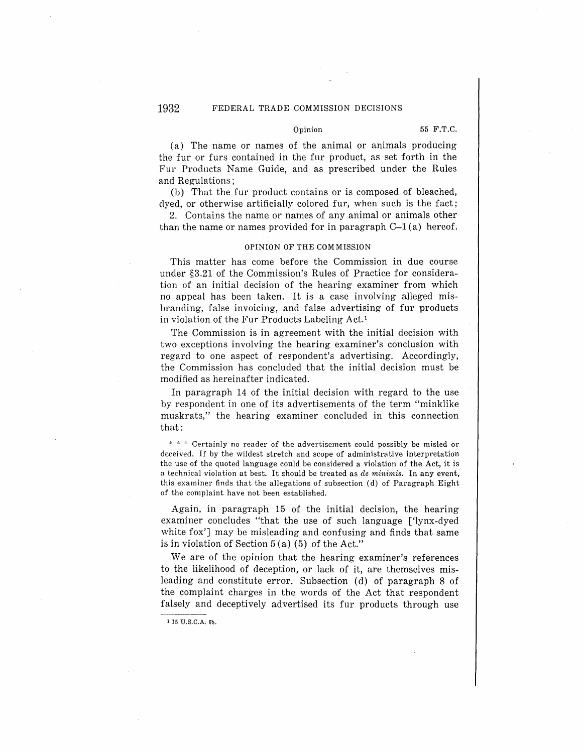# 1932 FEDERAL TRADE COMMISSION DECISIONS

## Opinion 55 F.T.C.

(a) The name or names of the animal or animals producing the fur or furs contained in the fur product, as set forth in the Fur Products Name Guide, and as prescribed under the Rules and Regulations;

(b) That the fur product contains or is composed of bleached, dyed, or otherwise artificially colored fur, when such is the fact;

2. Contains the name or names of any animal or animals other than the name or names provided for in paragraph  $C-1$  (a) hereof.

#### OPINION OF THE COM MISSION

This matter has come before the Commission in due course under §3.21 of the Commission's Rules of Practice for consideration of an initial decision of the hearing examiner from which no appeal has been taken. It is a case involving alleged misbranding, false invoicing, and false advertising of fur products in violation of the Fur Products Labeling Act.1

The Commission is in agreement with the initial decision with two exceptions involving the hearing examiner's conclusion with regard to one aspect of respondent's advertising. Accordingly, the Commission has concluded that the initial decision must be modified as hereinafter indicated.

In paragraph 14 of the initial decision with regard to the use by respondent in one of its advertisements of the term "minklike muskrats," the hearing examiner concluded in this connection that:

 $* * :$  Certainly no reader of the advertisement could possibly be misled or deceived. If by the wildest stretch and scope of administrative interpretation the use of the quoted language could be considered a violation of the Act, it is a technical violation at best. It should be treated as *de minimis*. In any event, this examiner finds that the allegations of subsection (d) of Paragraph Eight of the complaint have not been established.

Again, in paragraph 15 of the initial decision, the hearing examiner concludes "that the use of such language ['lynx-dyed white fox'] may be misleading and confusing and finds that same is in violation of Section 5 (a) (5) of the Act."

We are of the opinion that the hearing examiner's references to the likelihood of deception, or lack of it, are themselves misleading and constitute error. Subsection (d) of paragraph 8 of the complaint charges in the words of the Act that respondent falsely and deceptively advertised its fur products through use

 $115$  U.S.C.A.  $65$ .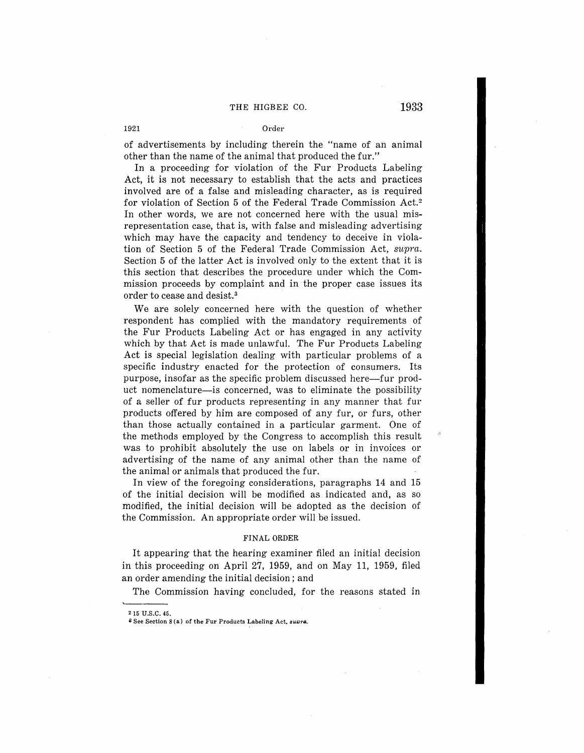## 1921 Order

of advertisements by including therein the "name of an animal other than the name of the animal that produced the fur."

In a proceeding for violation of the Fur Products Labeling Act, it is not necessary to establish that the acts and practices involved are of a false and misleading character, as is required for violation of Section 5 of the Federal Trade Commission Act.<sup>2</sup> In other words, we are not concerned here with the usual misrepresentation case, that is, with false and misleading advertising which may have the capacity and tendency to deceive in violation of Section 5 of the Federal Trade Commission Act, *supra.*  Section 5 of the latter Act is involved only to the extent that it is this section that describes the procedure under which the Commission proceeds by complaint and in the proper case issues its order to cease and desist.<sup>3</sup>

We are solely concerned here with the question of whether respondent has complied with the mandatory requirements of the Fur Products Labeling Act or has engaged in any activity which by that Act is made unlawful. The Fur Products Labeling Act is special legislation dealing with particular problems of a specific industry enacted for the protection of consumers. Its purpose, insofar as the specific problem discussed here-fur product nomenclature-is concerned, was to eliminate the possibility of a seller of fur products representing in any manner that fur products offered by him are composed of any fur, or furs, other than those actually contained in a particular garment. One of the methods employed by the Congress to accomplish this result was to prohibit absolutely the use on labels or in invoices or advertising of the name of any animal other than the name of the animal or animals that produced the fur.

In view of the foregoing considerations, paragraphs 14 and 15 of the initial decision will be modified as indicated and, as so modified, the initial decision will be adopted as the decision of the Commission. An appropriate order will be issued.

#### **FINAL ORDER**

It appearing that the hearing examiner filed an initial decision in this proceeding on April 27, 1959, and on May 11, 1959, filed an order amending the initial decision; and

The Commission having concluded, for the reasons stated in

<sup>2 15</sup> U.S.C. 45.

 $3$  See Section 8(a) of the Fur Products Labeling Act, *suvra*.